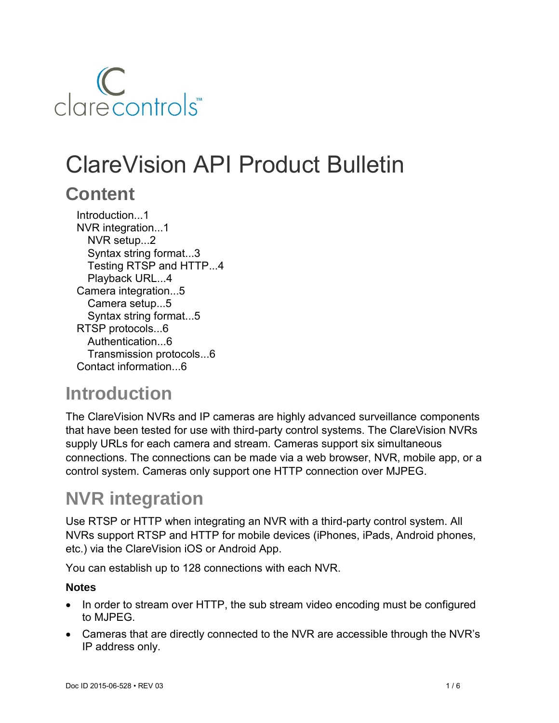# clarecontrols

# ClareVision API Product Bulletin

## **Content**

Introduction...1 NVR integration...1 NVR setup...2 Syntax string format...3 Testing RTSP and HTTP...4 Playback URL...4 Camera integration...5 Camera setup...5 Syntax string format...5 RTSP protocols...6 Authentication...6 Transmission protocols...6 Contact information...6

# **Introduction**

The ClareVision NVRs and IP cameras are highly advanced surveillance components that have been tested for use with third-party control systems. The ClareVision NVRs supply URLs for each camera and stream. Cameras support six simultaneous connections. The connections can be made via a web browser, NVR, mobile app, or a control system. Cameras only support one HTTP connection over MJPEG.

# **NVR integration**

Use RTSP or HTTP when integrating an NVR with a third-party control system. All NVRs support RTSP and HTTP for mobile devices (iPhones, iPads, Android phones, etc.) via the ClareVision iOS or Android App.

You can establish up to 128 connections with each NVR.

## **Notes**

- In order to stream over HTTP, the sub stream video encoding must be configured to MJPEG.
- Cameras that are directly connected to the NVR are accessible through the NVR's IP address only.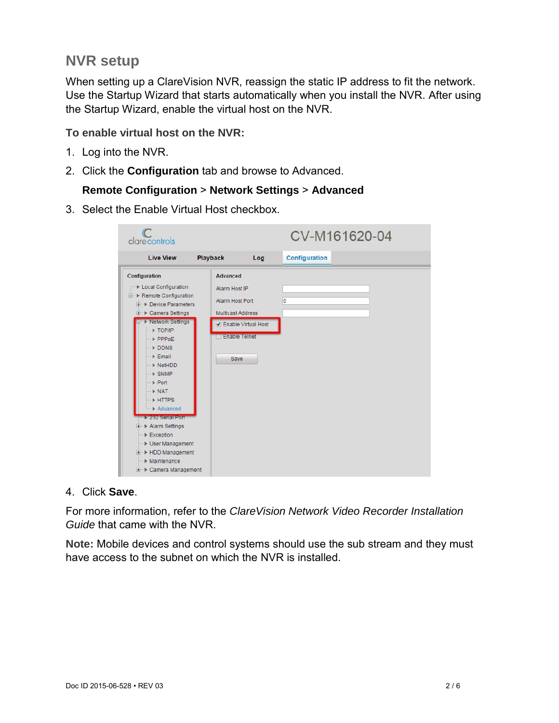## **NVR setup**

When setting up a ClareVision NVR, reassign the static IP address to fit the network. Use the Startup Wizard that starts automatically when you install the NVR. After using the Startup Wizard, enable the virtual host on the NVR.

#### **To enable virtual host on the NVR:**

- 1. Log into the NVR.
- 2. Click the **Configuration** tab and browse to Advanced.

## **Remote Configuration** > **Network Settings** > **Advanced**

3. Select the Enable Virtual Host checkbox.

| clarecontrols                                                                                                                                                                                                                                                                                                                                                                                                                                                                    |                                                                                                   |                       | CV-M161620-04 |  |
|----------------------------------------------------------------------------------------------------------------------------------------------------------------------------------------------------------------------------------------------------------------------------------------------------------------------------------------------------------------------------------------------------------------------------------------------------------------------------------|---------------------------------------------------------------------------------------------------|-----------------------|---------------|--|
| <b>Live View</b>                                                                                                                                                                                                                                                                                                                                                                                                                                                                 | Playback                                                                                          | Log                   | Configuration |  |
| Configuration<br>▶ Local Configuration<br>□ ▶ Remote Configuration<br><b>E</b> Device Parameters<br><b>E</b> > Camera Settings<br>▶ Network Settings<br>TCP/IP<br>PPPoE<br>DDNS<br>$E$ mail<br>▶ NetHDD<br>$>$ SNMP<br>$\triangleright$ Port<br>$\triangleright$ NAT<br><b>&gt; HTTPS</b><br>$\blacktriangleright$ Advanced<br><b>232 Serial Port</b><br><b>E</b> Alarm Settings<br>Exception<br>▶ User Management<br>+ > HDD Management<br>Maintenance<br>E > Camera Management | Advanced<br>Alarm Host IP<br>Alarm Host Port<br>Multicast Address<br><b>Enable Telnet</b><br>Save | ✔ Enable Virtual Host | O             |  |

#### 4. Click **Save**.

For more information, refer to the *ClareVision Network Video Recorder Installation Guide* that came with the NVR.

**Note:** Mobile devices and control systems should use the sub stream and they must have access to the subnet on which the NVR is installed.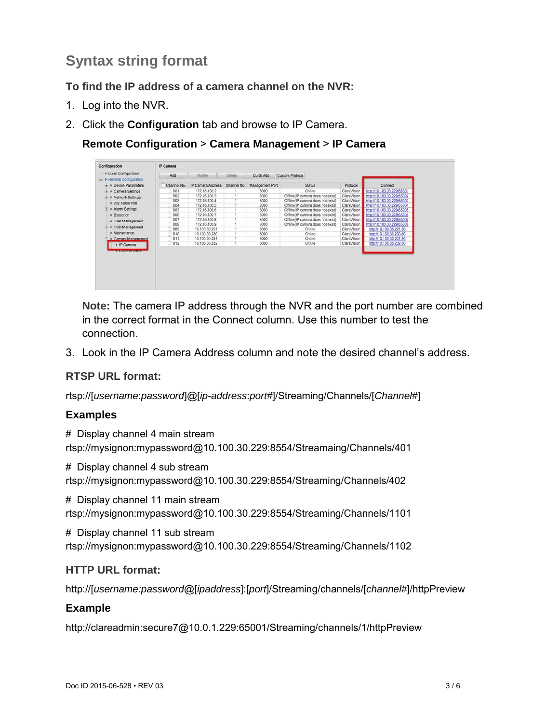## **Syntax string format**

**To find the IP address of a camera channel on the NVR:** 

- 1. Log into the NVR.
- 2. Click the **Configuration** tab and browse to IP Camera.

## **Remote Configuration** > **Camera Management** > **IP Camera**

| isi- > Remote Configuration<br>$\rightarrow$ > Device Parameters | Add         | Modify            | Delete.     | Quick Add       | Custom Protocol                   |             |                            |
|------------------------------------------------------------------|-------------|-------------------|-------------|-----------------|-----------------------------------|-------------|----------------------------|
|                                                                  |             |                   |             |                 |                                   |             |                            |
|                                                                  | Channel No. | IP Camera Address | Channel No. | Management Port | <b>Status</b>                     | Protocol    | Connect                    |
| D > Camera Settings                                              | D01         | 172.16.100.2      |             | 8000            | Online.                           | ClareVision | http://10.100.30.229:65001 |
| D > Network Settings                                             | D02         | 172.16.100.3      |             | 8000            | Offline(IP camera does not exist) | ClareVision | http://10.100.30.229:65002 |
| > 232 Serial Port                                                | D03         | 172.16.100.4      |             | 8000            | Offline(IP camera does not exist) | ClareVision | http://10.100.30.229:65003 |
|                                                                  | <b>D04</b>  | 172.16.100.5      |             | 8000            | Offline(IP camera does not exist) | ClareVision | http://10.100.30.229:65004 |
| > Alarm Settings<br>E.                                           | D05         | 172.16.100.6      |             | 8000            | Offline(IP camera does not exist) | ClareVision | http://10.100.30.229:65005 |
| Exception                                                        | D06         | 172.16.100.7      |             | 8000            | Offline(IP camera does not exist) | ClareVision | http://10.100.30.229:65006 |
| I User Management                                                | D07         | 172.16.100.8      |             | 8000            | Offline(IP camera does not exist) | ClareVision | http://10.100.30.229:65007 |
| > HDD Management<br>æ.                                           | D08         | 172.16.100.9      |             | 8000            | Offline(IP camera does not exist) | ClareVision | http://10.100.30.229:65008 |
|                                                                  | D09         | 10.100.30.221     |             | 8000            | Online                            | ClareVision | http://10.100.30.221:80    |
| » Maintenance                                                    | D10         | 10.100.30.230     |             | 8000            | Online                            | ClareVision | http://10.100.30.230:80    |
| <b>E Camera Management</b>                                       | 7D11        | 10.100.30.231     |             | 8000            | Online                            | ClareVision | http://10.100.30.231;80    |
| » IP Camera                                                      | D12         | 10.100.30.232     |             | 8000            | Online                            | ClareVision | http://10.100.30.232:80    |

**Note:** The camera IP address through the NVR and the port number are combined in the correct format in the Connect column. Use this number to test the connection.

3. Look in the IP Camera Address column and note the desired channel's address.

## **RTSP URL format:**

rtsp://[*username*:*password*]@[*ip-address*:*port#*]/Streaming/Channels/[*Channel#*]

## **Examples**

# Display channel 4 main stream rtsp://mysignon:mypassword@10.100.30.229:8554/Streamaing/Channels/401

# Display channel 4 sub stream rtsp://mysignon:mypassword@10.100.30.229:8554/Streaming/Channels/402

# Display channel 11 main stream rtsp://mysignon:mypassword@10.100.30.229:8554/Streaming/Channels/1101

# Display channel 11 sub stream rtsp://mysignon:mypassword@10.100.30.229:8554/Streaming/Channels/1102

## **HTTP URL format:**

http://[*username:password*@[*ipaddress*]:[*port*]/Streaming/channels/[*channel#*]/httpPreview

## **Example**

http://clareadmin:secure7@10.0.1.229:65001/Streaming/channels/1/httpPreview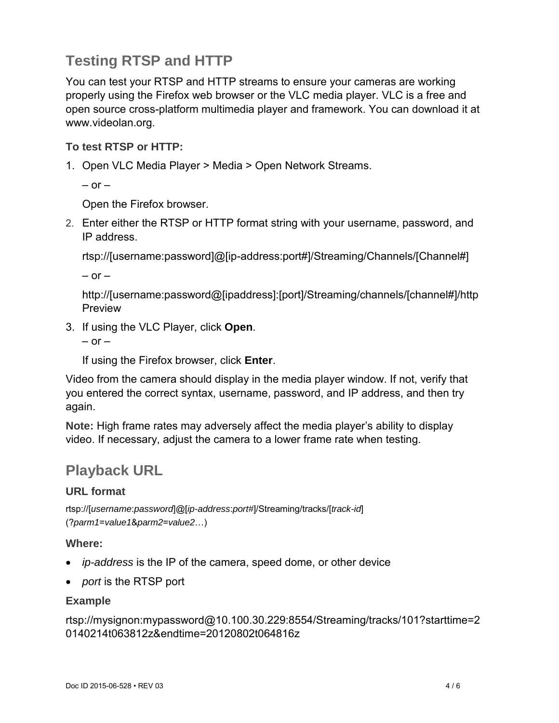## **Testing RTSP and HTTP**

You can test your RTSP and HTTP streams to ensure your cameras are working properly using the Firefox web browser or the VLC media player. VLC is a free and open source cross-platform multimedia player and framework. You can download it at www.videolan.org.

## **To test RTSP or HTTP:**

1. Open VLC Media Player > Media > Open Network Streams.

 $-$  or  $-$ 

Open the Firefox browser.

2. Enter either the RTSP or HTTP format string with your username, password, and IP address.

rtsp://[username:password]@[ip-address:port#]/Streaming/Channels/[Channel#]

 $-$  or  $-$ 

http://[username:password@[ipaddress]:[port]/Streaming/channels/[channel#]/http Preview

3. If using the VLC Player, click **Open**.

 $-$  or  $-$ 

If using the Firefox browser, click **Enter**.

Video from the camera should display in the media player window. If not, verify that you entered the correct syntax, username, password, and IP address, and then try again.

**Note:** High frame rates may adversely affect the media player's ability to display video. If necessary, adjust the camera to a lower frame rate when testing.

## **Playback URL**

## **URL format**

rtsp://[*username*:*password*]@[*ip-address*:*port#*]/Streaming/tracks/[*track-id*] (?*parm1*=*value1*&*parm2*=*value2*…)

## **Where:**

- *ip-address* is the IP of the camera, speed dome, or other device
- *port* is the RTSP port

#### **Example**

rtsp://mysignon:mypassword@10.100.30.229:8554/Streaming/tracks/101?starttime=2 0140214t063812z&endtime=20120802t064816z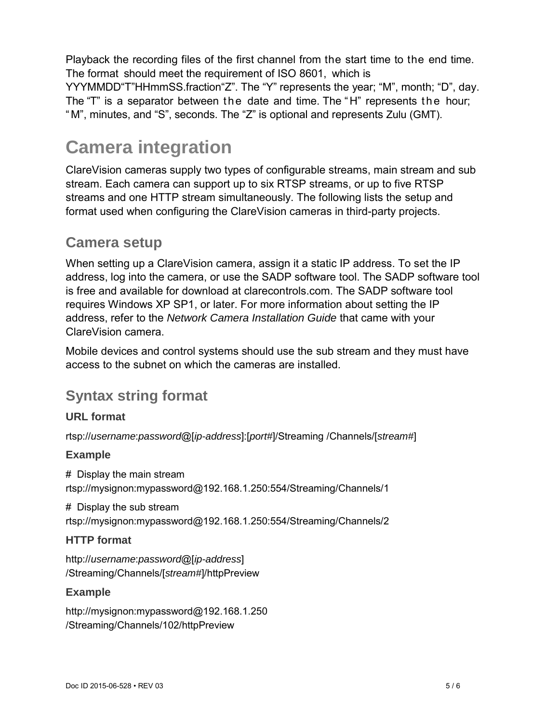Playback the recording files of the first channel from the start time to the end time. The format should meet the requirement of ISO 8601, which is

YYYMMDD"T"HHmmSS.fraction"Z". The "Y" represents the year; "M", month; "D", day. The "T" is a separator between the date and time. The "H" represents the hour; "M", minutes, and "S", seconds. The "Z" is optional and represents Zulu (GMT).

# **Camera integration**

ClareVision cameras supply two types of configurable streams, main stream and sub stream. Each camera can support up to six RTSP streams, or up to five RTSP streams and one HTTP stream simultaneously. The following lists the setup and format used when configuring the ClareVision cameras in third-party projects.

## **Camera setup**

When setting up a ClareVision camera, assign it a static IP address. To set the IP address, log into the camera, or use the SADP software tool. The SADP software tool is free and available for download at clarecontrols.com. The SADP software tool requires Windows XP SP1, or later. For more information about setting the IP address, refer to the *Network Camera Installation Guide* that came with your ClareVision camera.

Mobile devices and control systems should use the sub stream and they must have access to the subnet on which the cameras are installed.

## **Syntax string format**

## **URL format**

rtsp://*username*:*password*@[*ip-address*]:[*port#*]/Streaming /Channels/[*stream#*]

#### **Example**

# Display the main stream rtsp://mysignon:mypassword@192.168.1.250:554/Streaming/Channels/1

# Display the sub stream rtsp://mysignon:mypassword@192.168.1.250:554/Streaming/Channels/2

#### **HTTP format**

http://*username*:*password*@[*ip-address*] /Streaming/Channels/[*stream#*]/httpPreview

#### **Example**

http://mysignon:mypassword@192.168.1.250 /Streaming/Channels/102/httpPreview